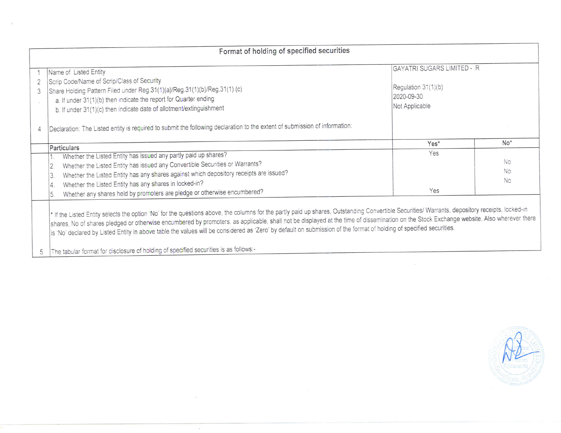| Format of holding of specified securities |                                                                                                                                                                                                                                                                                                                                                                                                                                                                                                                                                                                                                                                                 |                                                                                   |           |  |  |  |  |  |  |
|-------------------------------------------|-----------------------------------------------------------------------------------------------------------------------------------------------------------------------------------------------------------------------------------------------------------------------------------------------------------------------------------------------------------------------------------------------------------------------------------------------------------------------------------------------------------------------------------------------------------------------------------------------------------------------------------------------------------------|-----------------------------------------------------------------------------------|-----------|--|--|--|--|--|--|
| 2<br>3                                    | Name of Listed Entity<br>Scrip Code/Name of Scrip/Class of Security<br>Share Holding Pattern Filed under Reg.31(1)(a)/Reg.31(1)(b)/Reg.31(1) (c)<br>a. If under 31(1)(b) then indicate the report for Quarter ending<br>b. If under 31(1)(c) then indicate date of allotment/extinguishment                                                                                                                                                                                                                                                                                                                                                                     | GAYATRI SUGARS LIMITED - R<br>Regulation 31(1)(b)<br>2020-09-30<br>Not Applicable |           |  |  |  |  |  |  |
| 4                                         | Declaration: The Listed entity is required to submit the following declaration to the extent of submission of information:                                                                                                                                                                                                                                                                                                                                                                                                                                                                                                                                      | Yes*                                                                              | $No*$     |  |  |  |  |  |  |
|                                           | Particulars                                                                                                                                                                                                                                                                                                                                                                                                                                                                                                                                                                                                                                                     | Yes                                                                               |           |  |  |  |  |  |  |
|                                           | Whether the Listed Entity has issued any partly paid up shares?                                                                                                                                                                                                                                                                                                                                                                                                                                                                                                                                                                                                 |                                                                                   | No        |  |  |  |  |  |  |
|                                           | Whether the Listed Entity has issued any Convertible Securities or Warrants?                                                                                                                                                                                                                                                                                                                                                                                                                                                                                                                                                                                    |                                                                                   | <b>No</b> |  |  |  |  |  |  |
|                                           | Whether the Listed Entity has any shares against which depository receipts are issued?<br>3.                                                                                                                                                                                                                                                                                                                                                                                                                                                                                                                                                                    |                                                                                   |           |  |  |  |  |  |  |
|                                           | Whether the Listed Entity has any shares in locked-in?<br>4                                                                                                                                                                                                                                                                                                                                                                                                                                                                                                                                                                                                     |                                                                                   | <b>No</b> |  |  |  |  |  |  |
|                                           | Whether any shares held by promoters are pledge or otherwise encumbered?                                                                                                                                                                                                                                                                                                                                                                                                                                                                                                                                                                                        | Yes                                                                               |           |  |  |  |  |  |  |
|                                           | * If the Listed Entity selects the option 'No' for the questions above, the columns for the partly paid up shares, Outstanding Convertible Securities/ Warrants, depository receipts, locked-in<br>shares. No of shares pledged or otherwise encumbered by promoters, as applicable, shall not be displayed at the time of dissemination on the Stock Exchange website. Also wherever there<br>is 'No' declared by Listed Entity in above table the values will be considered as 'Zero' by default on submission of the format of holding of specified securities.<br>The tabular format for disclosure of holding of specified securities is as follows:-<br>5 |                                                                                   |           |  |  |  |  |  |  |

 $\sim$